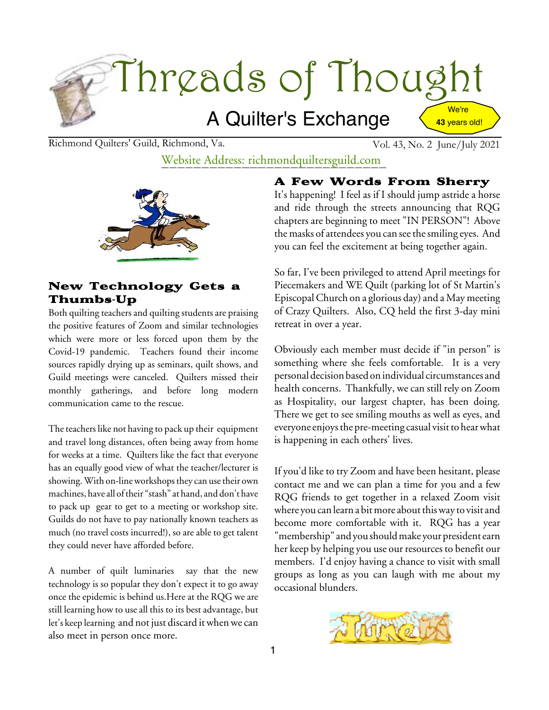

Richmond Quilters' Guild, Richmond, Va. Vol. 43, No. 2 June/July 2021

# Website Address: richmondquiltersguild.com



#### New Technology Gets a Thumbs-Up

Both quilting teachers and quilting students are praising the positive features of Zoom and similar technologies which were more or less forced upon them by the Covid-19 pandemic. Teachers found their income sources rapidly drying up as seminars, quilt shows, and Guild meetings were canceled. Quilters missed their monthly gatherings, and before long modern communication came to the rescue.

The teachers like not having to pack up their equipment and travel long distances, often being away from home for weeks at a time. Quilters like the fact that everyone has an equally good view of what the teacher/lecturer is showing. With on-line workshops they can use their own machines, have all oftheir "stash" at hand, and don't have to pack up gear to get to a meeting or workshop site. Guilds do not have to pay nationally known teachers as much (no travel costs incurred!), so are able to get talent they could never have afforded before.

A number of quilt luminaries say that the new technology is so popular they don't expect it to go away once the epidemic is behind us.Here at the RQG we are still learning how to use all this to its best advantage, but let's keep learning and not just discard itwhenwe can also meet in person once more.

### A Few Words From Sherry

It's happening! I feel as if I should jump astride a horse and ride through the streets announcing that RQG chapters are beginning to meet "IN PERSON"! Above the masks of attendees you can see the smiling eyes. And you can feel the excitement at being together again.

So far, I've been privileged to attend April meetings for Piecemakers and WE Quilt (parking lot of St Martin's EpiscopalChurch on a glorious day) and a May meeting of Crazy Quilters. Also, CQ held the first 3-day mini retreat in over a year.

Obviously each member must decide if "in person" is something where she feels comfortable. It is a very personal decision based on individual circumstances and health concerns. Thankfully, we can still rely on Zoom as Hospitality, our largest chapter, has been doing. There we get to see smiling mouths as well as eyes, and everyone enjoys the pre-meeting casual visit to hear what is happening in each others' lives.

If you'd like to try Zoom and have been hesitant, please contact me and we can plan a time for you and a few RQG friends to get together in a relaxed Zoom visit where you can learn a bit more about this way to visit and become more comfortable with it. RQG has a year "membership" and you should make your president earn her keep by helping you use our resources to benefit our members. I'd enjoy having a chance to visit with small groups as long as you can laugh with me about my occasional blunders.

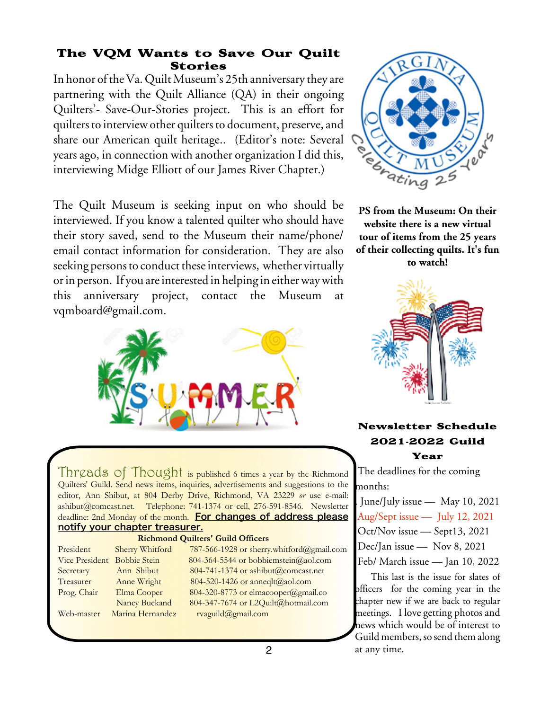### The VQM Wants to Save Our Quilt Stories

In honor of the Va. Quilt Museum's 25th anniversary they are partnering with the Quilt Alliance (QA) in their ongoing Quilters'- Save-Our-Stories project. This is an effort for quilters to interview other quilters to document, preserve, and share our American quilt heritage.. (Editor's note: Several years ago, in connection with another organization I did this, interviewing Midge Elliott of our James River Chapter.)

The Quilt Museum is seeking input on who should be interviewed. If you know a talented quilter who should have their story saved, send to the Museum their name/phone/ email contact information for consideration. They are also seeking persons to conduct these interviews, whether virtually or in person. If you are interested in helping in either way with this anniversary project, contact the Museum at vqmboard@gmail.com.





**PS from the Museum: On their website there is a new virtual tour of items from the 25 years of their collecting quilts. It's fun to watch!**



#### Newsletter Schedule 2021**-**2022 Guild Year

The deadlines for the coming months:

- June/July issue May 10, 2021
- Aug/Sept issue July 12, 2021
- Oct/Nov issue Sept13, 2021
- Dec/Jan issue Nov 8, 2021
- Feb/ March issue Jan 10, 2022

This last is the issue for slates of officers for the coming year in the chapter new if we are back to regular meetings. I love getting photos and news which would be of interest to Guild members, so send them along at any time.

Threads of Thought is published 6 times a year by the Richmond Quilters' Guild. Send news items, inquiries, advertisements and suggestions to the editor, Ann Shibut, at 804 Derby Drive, Richmond, VA 23229 *or* use e-mail: ashibut@comcast.net. Telephone: 741-1374 or cell, 276-591-8546. Newsletter deadline: 2nd Monday of the month. For changes of address please notify your chapter treasurer.

#### **Richmond Quilters' Guild Officers**

| President                   | Sherry Whitford  | 787-566-1928 or sherry.whitford@gmail.com |
|-----------------------------|------------------|-------------------------------------------|
| Vice President Bobbie Stein |                  | 804-364-5544 or bobbiemstein@aol.com      |
| Secretary                   | Ann Shibut       | 804-741-1374 or ashibut@comcast.net       |
| Treasurer                   | Anne Wright      | $804-520-1426$ or anneqlt@aol.com         |
| Prog. Chair                 | Elma Cooper      | 804-320-8773 or elmacooper@gmail.co       |
|                             | Nancy Buckand    | 804-347-7674 or L2Quilt@hotmail.com       |
| Web-master                  | Marina Hernandez | rvaguild@gmail.com                        |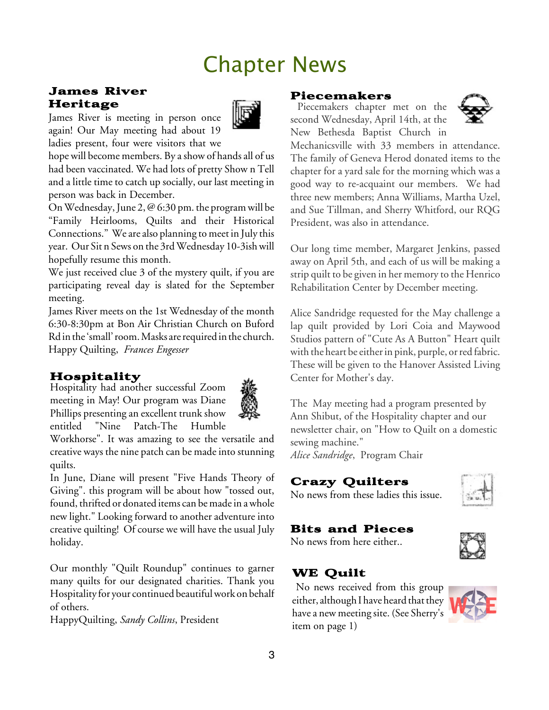# Chapter News

#### James River Heritage

James River is meeting in person once again! Our May meeting had about 19 ladies present, four were visitors that we



hope will become members. By a show of hands all of us had been vaccinated. We had lots of pretty Show n Tell and a little time to catch up socially, our last meeting in person was back in December.

On Wednesday, June 2,  $\mathcal{Q}$  6:30 pm. the program will be "Family Heirlooms, Quilts and their Historical Connections." We are also planning to meet in July this year. Our Sit n Sews on the 3rd Wednesday 10-3ish will hopefully resume this month.

We just received clue 3 of the mystery quilt, if you are participating reveal day is slated for the September meeting.

James River meets on the 1st Wednesday of the month 6:30-8:30pm at Bon Air Christian Church on Buford Rd in the 'small' room. Masks are required in the church. Happy Quilting, *Frances Engesser*

# Hospitality

Hospitality had another successful Zoom meeting in May! Our program was Diane Phillips presenting an excellent trunk show entitled "Nine Patch-The Humble



Workhorse". It was amazing to see the versatile and creative ways the nine patch can be madeinto stunning quilts.

In June, Diane will present "Five Hands Theory of Giving". this program will be about how "tossed out, found, thrifted or donated items can be made in a whole new light." Looking forward to another adventure into creative quilting! Of course we will have the usual July holiday.

Our monthly "Quilt Roundup" continues to garner many quilts for our designated charities. Thank you Hospitality for your continued beautiful work on behalf of others.

HappyQuilting, *Sandy Collins*, President

#### Piecemakers

Piecemakers chapter met on the second Wednesday, April 14th, at the New Bethesda Baptist Church in



Mechanicsville with 33 members in attendance. The family of Geneva Herod donated items to the chapter for a yard sale for the morning which was a good way to re-acquaint our members. We had three new members; Anna Williams, Martha Uzel, and Sue Tillman, and Sherry Whitford, our RQG President, was also in attendance.

Our long time member, Margaret Jenkins, passed away on April 5th, and each of us will be making a strip quilt to be given in her memory to the Henrico Rehabilitation Center by December meeting.

Alice Sandridge requested for the May challenge a lap quilt provided by Lori Coia and Maywood Studios pattern of "Cute As A Button" Heart quilt with the heart be either in pink, purple, or red fabric. These will be given to the Hanover Assisted Living Center for Mother's day.

The May meeting had a program presented by Ann Shibut, of the Hospitality chapter and our newsletter chair, on "How to Quilt on a domestic sewing machine."

*Alice Sandridge*, Program Chair

# Crazy Quilters

No news from these ladies this issue.

# Bits and Pieces

No news from here either..



# WE Quilt

No news received from this group either, although I have heard that they have a new meeting site. (See Sherry's item on page 1)